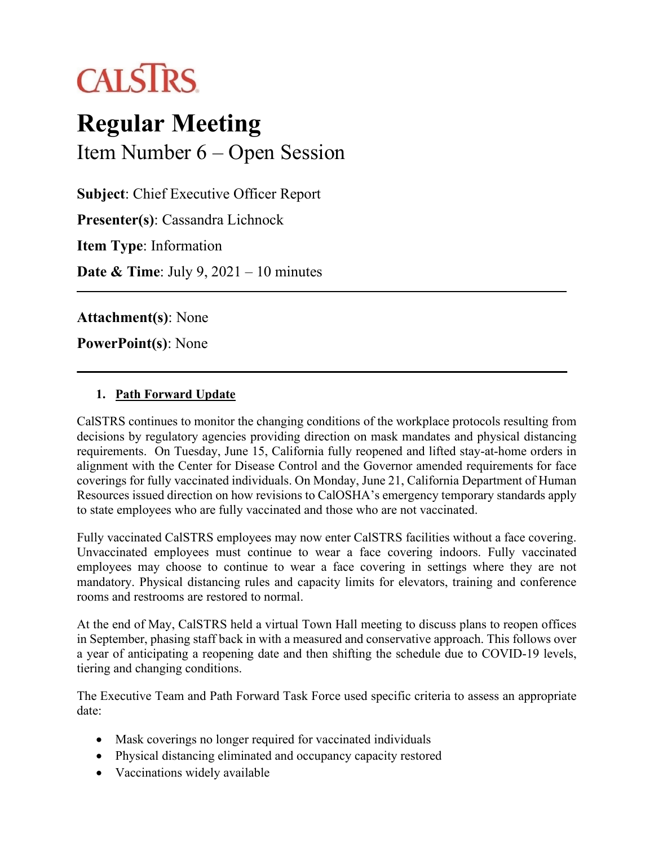

# **Regular Meeting** Item Number 6 – Open Session

**Subject**: Chief Executive Officer Report **Presenter(s)**: Cassandra Lichnock **Item Type**: Information **Date & Time**: July 9, 2021 – 10 minutes

**Attachment(s)**: None

**PowerPoint(s)**: None

### **1. Path Forward Update**

CalSTRS continues to monitor the changing conditions of the workplace protocols resulting from decisions by regulatory agencies providing direction on mask mandates and physical distancing requirements. On Tuesday, June 15, California fully reopened and lifted stay-at-home orders in alignment with the Center for Disease Control and the Governor amended requirements for face coverings for fully vaccinated individuals. On Monday, June 21, California Department of Human Resources issued direction on how revisions to CalOSHA's emergency temporary standards apply to state employees who are fully vaccinated and those who are not vaccinated.

Fully vaccinated CalSTRS employees may now enter CalSTRS facilities without a face covering. Unvaccinated employees must continue to wear a face covering indoors. Fully vaccinated employees may choose to continue to wear a face covering in settings where they are not mandatory. Physical distancing rules and capacity limits for elevators, training and conference rooms and restrooms are restored to normal.

At the end of May, CalSTRS held a virtual Town Hall meeting to discuss plans to reopen offices in September, phasing staff back in with a measured and conservative approach. This follows over a year of anticipating a reopening date and then shifting the schedule due to COVID-19 levels, tiering and changing conditions.

The Executive Team and Path Forward Task Force used specific criteria to assess an appropriate date:

- Mask coverings no longer required for vaccinated individuals
- Physical distancing eliminated and occupancy capacity restored
- Vaccinations widely available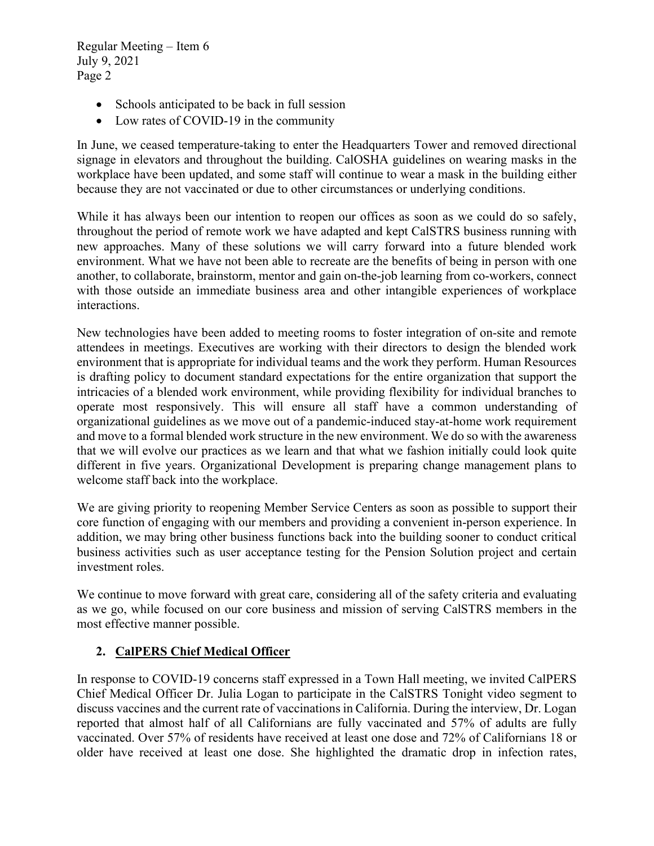- Schools anticipated to be back in full session
- Low rates of COVID-19 in the community

In June, we ceased temperature-taking to enter the Headquarters Tower and removed directional signage in elevators and throughout the building. CalOSHA guidelines on wearing masks in the workplace have been updated, and some staff will continue to wear a mask in the building either because they are not vaccinated or due to other circumstances or underlying conditions.

While it has always been our intention to reopen our offices as soon as we could do so safely, throughout the period of remote work we have adapted and kept CalSTRS business running with new approaches. Many of these solutions we will carry forward into a future blended work environment. What we have not been able to recreate are the benefits of being in person with one another, to collaborate, brainstorm, mentor and gain on-the-job learning from co-workers, connect with those outside an immediate business area and other intangible experiences of workplace interactions.

New technologies have been added to meeting rooms to foster integration of on-site and remote attendees in meetings. Executives are working with their directors to design the blended work environment that is appropriate for individual teams and the work they perform. Human Resources is drafting policy to document standard expectations for the entire organization that support the intricacies of a blended work environment, while providing flexibility for individual branches to operate most responsively. This will ensure all staff have a common understanding of organizational guidelines as we move out of a pandemic-induced stay-at-home work requirement and move to a formal blended work structure in the new environment. We do so with the awareness that we will evolve our practices as we learn and that what we fashion initially could look quite different in five years. Organizational Development is preparing change management plans to welcome staff back into the workplace.

We are giving priority to reopening Member Service Centers as soon as possible to support their core function of engaging with our members and providing a convenient in-person experience. In addition, we may bring other business functions back into the building sooner to conduct critical business activities such as user acceptance testing for the Pension Solution project and certain investment roles.

We continue to move forward with great care, considering all of the safety criteria and evaluating as we go, while focused on our core business and mission of serving CalSTRS members in the most effective manner possible.

## **2. CalPERS Chief Medical Officer**

In response to COVID-19 concerns staff expressed in a Town Hall meeting, we invited CalPERS Chief Medical Officer Dr. Julia Logan to participate in the CalSTRS Tonight video segment to discuss vaccines and the current rate of vaccinations in California. During the interview, Dr. Logan reported that almost half of all Californians are fully vaccinated and 57% of adults are fully vaccinated. Over 57% of residents have received at least one dose and 72% of Californians 18 or older have received at least one dose. She highlighted the dramatic drop in infection rates,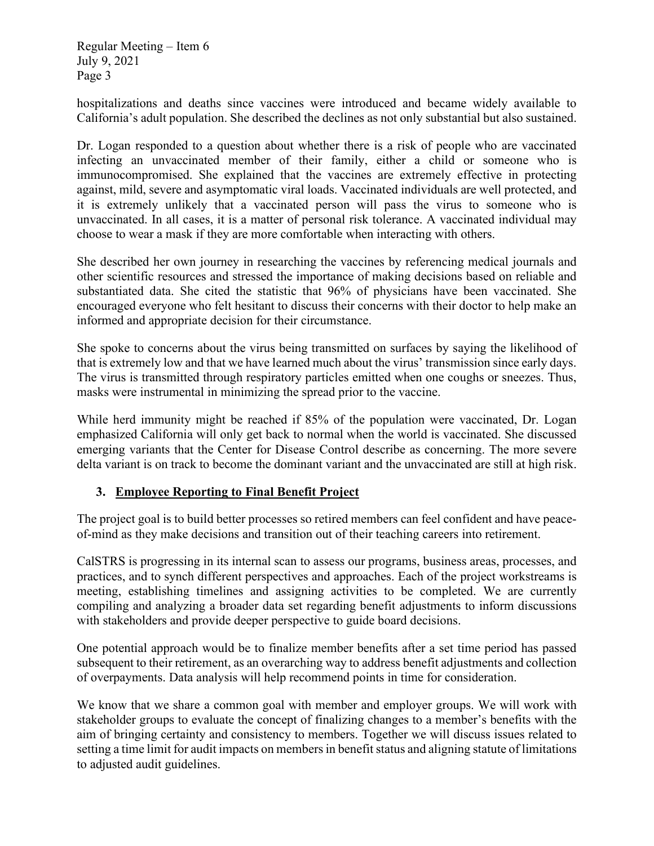hospitalizations and deaths since vaccines were introduced and became widely available to California's adult population. She described the declines as not only substantial but also sustained.

Dr. Logan responded to a question about whether there is a risk of people who are vaccinated infecting an unvaccinated member of their family, either a child or someone who is immunocompromised. She explained that the vaccines are extremely effective in protecting against, mild, severe and asymptomatic viral loads. Vaccinated individuals are well protected, and it is extremely unlikely that a vaccinated person will pass the virus to someone who is unvaccinated. In all cases, it is a matter of personal risk tolerance. A vaccinated individual may choose to wear a mask if they are more comfortable when interacting with others.

She described her own journey in researching the vaccines by referencing medical journals and other scientific resources and stressed the importance of making decisions based on reliable and substantiated data. She cited the statistic that 96% of physicians have been vaccinated. She encouraged everyone who felt hesitant to discuss their concerns with their doctor to help make an informed and appropriate decision for their circumstance.

She spoke to concerns about the virus being transmitted on surfaces by saying the likelihood of that is extremely low and that we have learned much about the virus' transmission since early days. The virus is transmitted through respiratory particles emitted when one coughs or sneezes. Thus, masks were instrumental in minimizing the spread prior to the vaccine.

While herd immunity might be reached if 85% of the population were vaccinated, Dr. Logan emphasized California will only get back to normal when the world is vaccinated. She discussed emerging variants that the Center for Disease Control describe as concerning. The more severe delta variant is on track to become the dominant variant and the unvaccinated are still at high risk.

### **3. Employee Reporting to Final Benefit Project**

The project goal is to build better processes so retired members can feel confident and have peaceof-mind as they make decisions and transition out of their teaching careers into retirement.

CalSTRS is progressing in its internal scan to assess our programs, business areas, processes, and practices, and to synch different perspectives and approaches. Each of the project workstreams is meeting, establishing timelines and assigning activities to be completed. We are currently compiling and analyzing a broader data set regarding benefit adjustments to inform discussions with stakeholders and provide deeper perspective to guide board decisions.

One potential approach would be to finalize member benefits after a set time period has passed subsequent to their retirement, as an overarching way to address benefit adjustments and collection of overpayments. Data analysis will help recommend points in time for consideration.

We know that we share a common goal with member and employer groups. We will work with stakeholder groups to evaluate the concept of finalizing changes to a member's benefits with the aim of bringing certainty and consistency to members. Together we will discuss issues related to setting a time limit for audit impacts on members in benefit status and aligning statute of limitations to adjusted audit guidelines.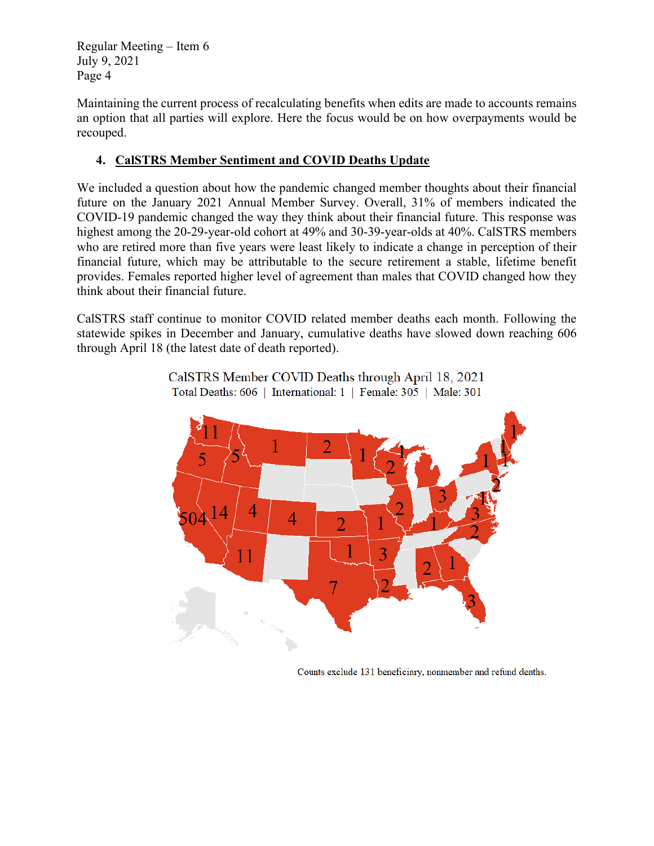Maintaining the current process of recalculating benefits when edits are made to accounts remains an option that all parties will explore. Here the focus would be on how overpayments would be recouped.

## **4. CalSTRS Member Sentiment and COVID Deaths Update**

We included a question about how the pandemic changed member thoughts about their financial future on the January 2021 Annual Member Survey. Overall, 31% of members indicated the COVID-19 pandemic changed the way they think about their financial future. This response was highest among the 20-29-year-old cohort at 49% and 30-39-year-olds at 40%. CalSTRS members who are retired more than five years were least likely to indicate a change in perception of their financial future, which may be attributable to the secure retirement a stable, lifetime benefit provides. Females reported higher level of agreement than males that COVID changed how they think about their financial future.

CalSTRS staff continue to monitor COVID related member deaths each month. Following the statewide spikes in December and January, cumulative deaths have slowed down reaching 606 through April 18 (the latest date of death reported).



CalSTRS Member COVID Deaths through April 18, 2021 Total Deaths: 606 | International: 1 | Female: 305 | Male: 301

Counts exclude 131 beneficiary, nonmember and refund deaths.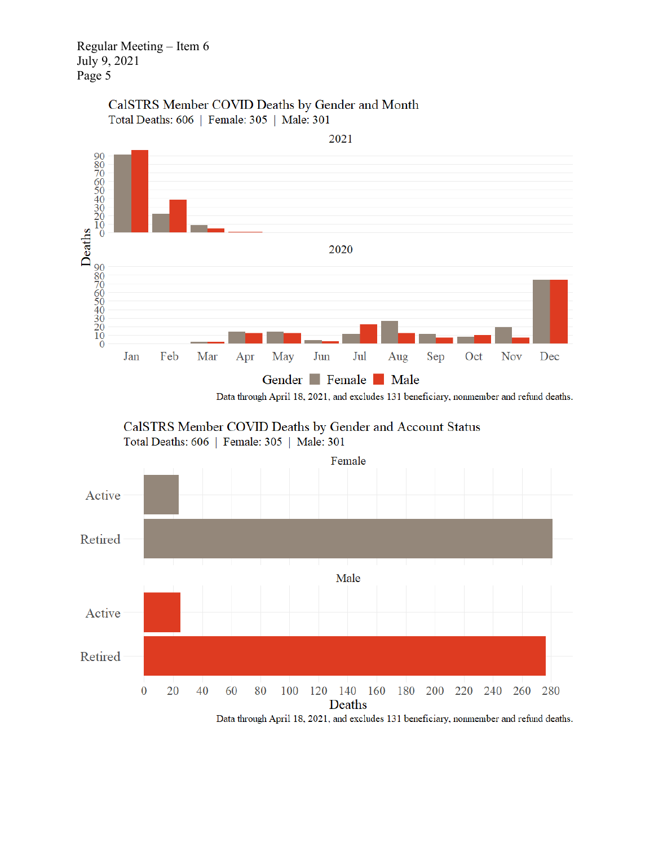## CalSTRS Member COVID Deaths by Gender and Month Total Deaths: 606 | Female: 305 | Male: 301



Data through April 18, 2021, and excludes 131 beneficiary, nonmember and refund deaths.





Data through April 18, 2021, and excludes 131 beneficiary, nonmember and refund deaths.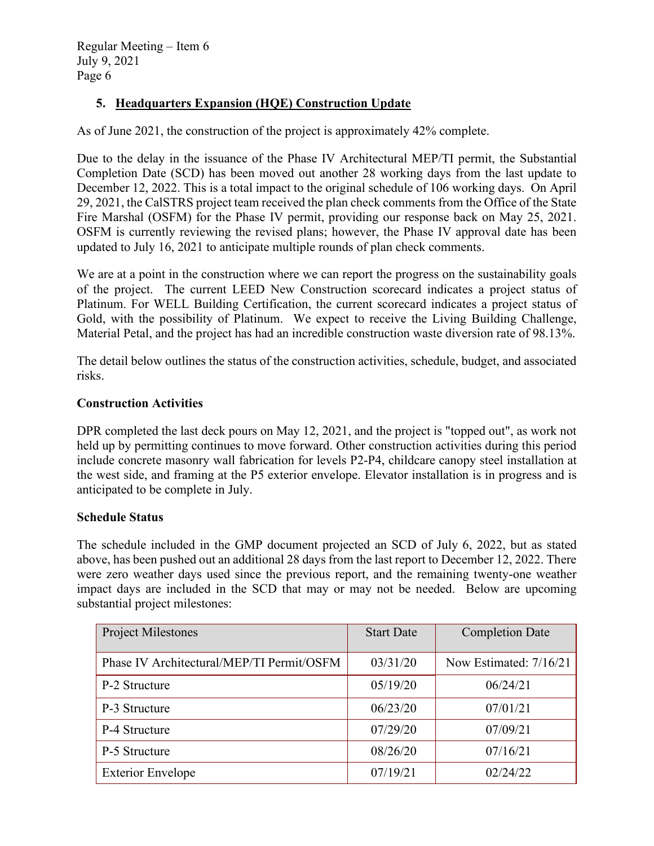## **5. Headquarters Expansion (HQE) Construction Update**

As of June 2021, the construction of the project is approximately 42% complete.

Due to the delay in the issuance of the Phase IV Architectural MEP/TI permit, the Substantial Completion Date (SCD) has been moved out another 28 working days from the last update to December 12, 2022. This is a total impact to the original schedule of 106 working days. On April 29, 2021, the CalSTRS project team received the plan check comments from the Office of the State Fire Marshal (OSFM) for the Phase IV permit, providing our response back on May 25, 2021. OSFM is currently reviewing the revised plans; however, the Phase IV approval date has been updated to July 16, 2021 to anticipate multiple rounds of plan check comments.

We are at a point in the construction where we can report the progress on the sustainability goals of the project. The current LEED New Construction scorecard indicates a project status of Platinum. For WELL Building Certification, the current scorecard indicates a project status of Gold, with the possibility of Platinum. We expect to receive the Living Building Challenge, Material Petal, and the project has had an incredible construction waste diversion rate of 98.13%.

The detail below outlines the status of the construction activities, schedule, budget, and associated risks.

### **Construction Activities**

DPR completed the last deck pours on May 12, 2021, and the project is "topped out", as work not held up by permitting continues to move forward. Other construction activities during this period include concrete masonry wall fabrication for levels P2-P4, childcare canopy steel installation at the west side, and framing at the P5 exterior envelope. Elevator installation is in progress and is anticipated to be complete in July.

### **Schedule Status**

The schedule included in the GMP document projected an SCD of July 6, 2022, but as stated above, has been pushed out an additional 28 days from the last report to December 12, 2022. There were zero weather days used since the previous report, and the remaining twenty-one weather impact days are included in the SCD that may or may not be needed. Below are upcoming substantial project milestones:

| <b>Project Milestones</b>                 | <b>Start Date</b> | <b>Completion Date</b> |
|-------------------------------------------|-------------------|------------------------|
| Phase IV Architectural/MEP/TI Permit/OSFM | 03/31/20          | Now Estimated: 7/16/21 |
| P-2 Structure                             | 05/19/20          | 06/24/21               |
| P-3 Structure                             | 06/23/20          | 07/01/21               |
| P-4 Structure                             | 07/29/20          | 07/09/21               |
| P-5 Structure                             | 08/26/20          | 07/16/21               |
| <b>Exterior Envelope</b>                  | 07/19/21          | 02/24/22               |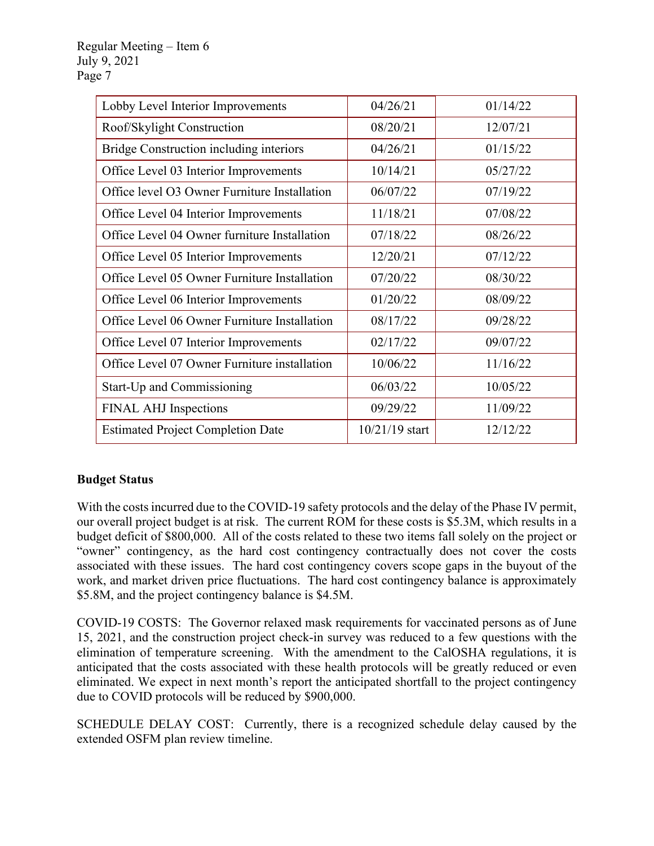| Lobby Level Interior Improvements            | 04/26/21       | 01/14/22 |
|----------------------------------------------|----------------|----------|
| Roof/Skylight Construction                   | 08/20/21       | 12/07/21 |
| Bridge Construction including interiors      | 04/26/21       | 01/15/22 |
| Office Level 03 Interior Improvements        | 10/14/21       | 05/27/22 |
| Office level O3 Owner Furniture Installation | 06/07/22       | 07/19/22 |
| Office Level 04 Interior Improvements        | 11/18/21       | 07/08/22 |
| Office Level 04 Owner furniture Installation | 07/18/22       | 08/26/22 |
| Office Level 05 Interior Improvements        | 12/20/21       | 07/12/22 |
| Office Level 05 Owner Furniture Installation | 07/20/22       | 08/30/22 |
| Office Level 06 Interior Improvements        | 01/20/22       | 08/09/22 |
| Office Level 06 Owner Furniture Installation | 08/17/22       | 09/28/22 |
| Office Level 07 Interior Improvements        | 02/17/22       | 09/07/22 |
| Office Level 07 Owner Furniture installation | 10/06/22       | 11/16/22 |
| Start-Up and Commissioning                   | 06/03/22       | 10/05/22 |
| FINAL AHJ Inspections                        | 09/29/22       | 11/09/22 |
| <b>Estimated Project Completion Date</b>     | 10/21/19 start | 12/12/22 |

## **Budget Status**

With the costs incurred due to the COVID-19 safety protocols and the delay of the Phase IV permit, our overall project budget is at risk. The current ROM for these costs is \$5.3M, which results in a budget deficit of \$800,000. All of the costs related to these two items fall solely on the project or "owner" contingency, as the hard cost contingency contractually does not cover the costs associated with these issues. The hard cost contingency covers scope gaps in the buyout of the work, and market driven price fluctuations. The hard cost contingency balance is approximately \$5.8M, and the project contingency balance is \$4.5M.

COVID-19 COSTS: The Governor relaxed mask requirements for vaccinated persons as of June 15, 2021, and the construction project check-in survey was reduced to a few questions with the elimination of temperature screening. With the amendment to the CalOSHA regulations, it is anticipated that the costs associated with these health protocols will be greatly reduced or even eliminated. We expect in next month's report the anticipated shortfall to the project contingency due to COVID protocols will be reduced by \$900,000.

SCHEDULE DELAY COST: Currently, there is a recognized schedule delay caused by the extended OSFM plan review timeline.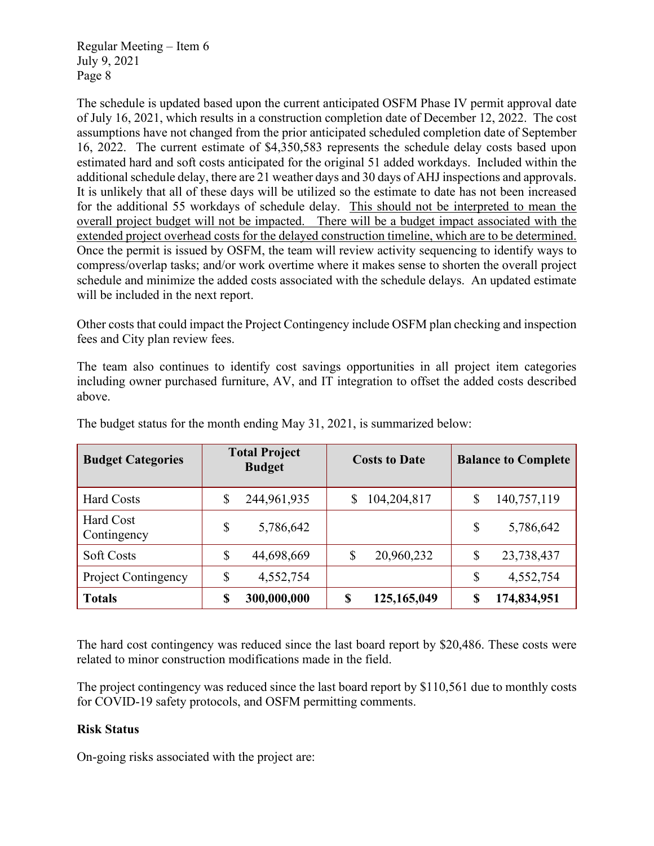The schedule is updated based upon the current anticipated OSFM Phase IV permit approval date of July 16, 2021, which results in a construction completion date of December 12, 2022. The cost assumptions have not changed from the prior anticipated scheduled completion date of September 16, 2022. The current estimate of \$4,350,583 represents the schedule delay costs based upon estimated hard and soft costs anticipated for the original 51 added workdays. Included within the additional schedule delay, there are 21 weather days and 30 days of AHJ inspections and approvals. It is unlikely that all of these days will be utilized so the estimate to date has not been increased for the additional 55 workdays of schedule delay. This should not be interpreted to mean the overall project budget will not be impacted. There will be a budget impact associated with the extended project overhead costs for the delayed construction timeline, which are to be determined. Once the permit is issued by OSFM, the team will review activity sequencing to identify ways to compress/overlap tasks; and/or work overtime where it makes sense to shorten the overall project schedule and minimize the added costs associated with the schedule delays. An updated estimate will be included in the next report.

Other costs that could impact the Project Contingency include OSFM plan checking and inspection fees and City plan review fees.

The team also continues to identify cost savings opportunities in all project item categories including owner purchased furniture, AV, and IT integration to offset the added costs described above.

| <b>Budget Categories</b>   | <b>Total Project</b><br><b>Budget</b> |             | <b>Costs to Date</b> |             | <b>Balance to Complete</b> |             |
|----------------------------|---------------------------------------|-------------|----------------------|-------------|----------------------------|-------------|
| <b>Hard Costs</b>          | \$                                    | 244,961,935 | S                    | 104,204,817 | \$                         | 140,757,119 |
| Hard Cost<br>Contingency   | \$                                    | 5,786,642   |                      |             | \$                         | 5,786,642   |
| <b>Soft Costs</b>          | \$                                    | 44,698,669  |                      | 20,960,232  | \$                         | 23,738,437  |
| <b>Project Contingency</b> | \$                                    | 4,552,754   |                      |             | \$                         | 4,552,754   |
| <b>Totals</b>              | \$                                    | 300,000,000 | \$                   | 125,165,049 | \$                         | 174,834,951 |

The budget status for the month ending May 31, 2021, is summarized below:

The hard cost contingency was reduced since the last board report by \$20,486. These costs were related to minor construction modifications made in the field.

The project contingency was reduced since the last board report by \$110,561 due to monthly costs for COVID-19 safety protocols, and OSFM permitting comments.

### **Risk Status**

On-going risks associated with the project are: